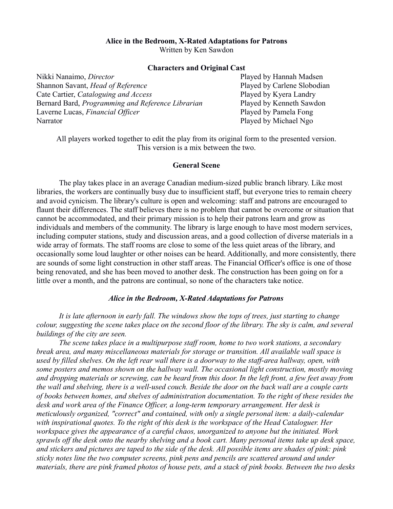### **Alice in the Bedroom, X-Rated Adaptations for Patrons**

Written by Ken Sawdon

### **Characters and Original Cast**

Nikki Nanaimo, *Director* Played by Hannah Madsen Shannon Savant, *Head of Reference* Played by Carlene Slobodian Cate Cartier, *Cataloguing and Access* Played by Kyera Landry Bernard Bard, *Programming and Reference Librarian* Played by Kenneth Sawdon Laverne Lucas, *Financial Officer* Played by Pamela Fong Narrator Played by Michael Ngo

All players worked together to edit the play from its original form to the presented version. This version is a mix between the two.

### **General Scene**

The play takes place in an average Canadian medium-sized public branch library. Like most libraries, the workers are continually busy due to insufficient staff, but everyone tries to remain cheery and avoid cynicism. The library's culture is open and welcoming: staff and patrons are encouraged to flaunt their differences. The staff believes there is no problem that cannot be overcome or situation that cannot be accommodated, and their primary mission is to help their patrons learn and grow as individuals and members of the community. The library is large enough to have most modern services, including computer stations, study and discussion areas, and a good collection of diverse materials in a wide array of formats. The staff rooms are close to some of the less quiet areas of the library, and occasionally some loud laughter or other noises can be heard. Additionally, and more consistently, there are sounds of some light construction in other staff areas. The Financial Officer's office is one of those being renovated, and she has been moved to another desk. The construction has been going on for a little over a month, and the patrons are continual, so none of the characters take notice.

### *Alice in the Bedroom, X-Rated Adaptations for Patrons*

*It is late afternoon in early fall. The windows show the tops of trees, just starting to change colour, suggesting the scene takes place on the second floor of the library. The sky is calm, and several buildings of the city are seen.*

*The scene takes place in a multipurpose staff room, home to two work stations, a secondary break area, and many miscellaneous materials for storage or transition. All available wall space is used by filled shelves. On the left rear wall there is a doorway to the staff-area hallway, open, with some posters and memos shown on the hallway wall. The occasional light construction, mostly moving and dropping materials or screwing, can be heard from this door. In the left front, a few feet away from the wall and shelving, there is a well-used couch. Beside the door on the back wall are a couple carts of books between homes, and shelves of administration documentation. To the right of these resides the desk and work area of the Finance Officer, a long-term temporary arrangement. Her desk is meticulously organized, "correct" and contained, with only a single personal item: a daily-calendar with inspirational quotes. To the right of this desk is the workspace of the Head Cataloguer. Her workspace gives the appearance of a careful chaos, unorganized to anyone but the initiated. Work sprawls off the desk onto the nearby shelving and a book cart. Many personal items take up desk space, and stickers and pictures are taped to the side of the desk. All possible items are shades of pink: pink sticky notes line the two computer screens, pink pens and pencils are scattered around and under materials, there are pink framed photos of house pets, and a stack of pink books. Between the two desks*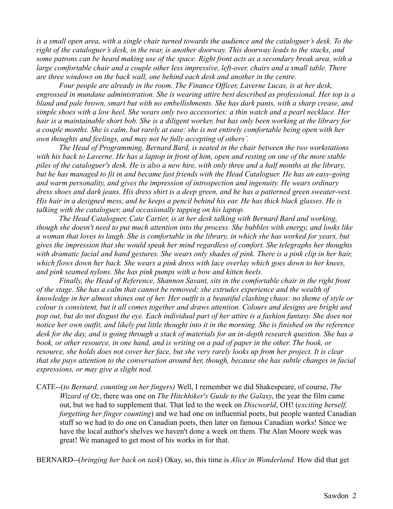*is a small open area, with a single chair turned towards the audience and the cataloguer's desk. To the right of the cataloguer's desk, in the rear, is another doorway. This doorway leads to the stacks, and some patrons can be heard making use of the space. Right front acts as a secondary break area, with a large comfortable chair and a couple other less impressive, left-over, chairs and a small table. There are three windows on the back wall, one behind each desk and another in the centre.*

*Four people are already in the room. The Finance Officer, Laverne Lucas, is at her desk, engrossed in mundane administration. She is wearing attire best described as professional. Her top is a bland and pale brown, smart but with no embellishments. She has dark pants, with a sharp crease, and simple shoes with a low heel. She wears only two accessories: a thin watch and a pearl necklace. Her hair is a maintainable short bob. She is a diligent worker, but has only been working at the library for a couple months. She is calm, but rarely at ease: she is not entirely comfortable being open with her own thoughts and feelings, and may not be fully accepting of others'.*

*The Head of Programming, Bernard Bard, is seated in the chair between the two workstations with his back to Laverne. He has a laptop in front of him, open and resting on one of the more stable piles of the cataloguer's desk. He is also a new hire, with only three and a half months at the library, but he has managed to fit in and became fast friends with the Head Cataloguer. He has an easy-going and warm personality, and gives the impression of introspection and ingenuity. He wears ordinary dress shoes and dark jeans. His dress shirt is a deep green, and he has a patterned green sweater-vest. His hair in a designed mess, and he keeps a pencil behind his ear. He has thick black glasses. He is talking with the cataloguer, and occasionally tapping on his laptop.*

*The Head Cataloguer, Cate Cartier, is at her desk talking with Bernard Bard and working, though she doesn't need to put much attention into the process. She bubbles with energy, and looks like a woman that loves to laugh. She is comfortable in the library, in which she has worked for years, but gives the impression that she would speak her mind regardless of comfort. She telegraphs her thoughts with dramatic facial and hand gestures. She wears only shades of pink. There is a pink clip in her hair,*  which flows down her back. She wears a pink dress with lace overlay which goes down to her knees, *and pink seamed nylons. She has pink pumps with a bow and kitten heels.*

*Finally, the Head of Reference, Shannon Savant, sits in the comfortable chair in the right front of the stage. She has a calm that cannot be removed; she extrudes experience and the wealth of knowledge in her almost shines out of her. Her outfit is a beautiful clashing chaos: no theme of style or colour is consistent, but it all comes together and draws attention. Colours and designs are bright and pop out, but do not disgust the eye. Each individual part of her attire is a fashion fantasy. She does not notice her own outfit, and likely put little thought into it in the morning. She is finished on the reference desk for the day, and is going through a stack of materials for an in-depth research question. She has a*  book, or other resource, in one hand, and is writing on a pad of paper in the other. The book, or *resource, she holds does not cover her face, but she very rarely looks up from her project. It is clear that she pays attention to the conversation around her, though, because she has subtle changes in facial expressions, or may give a slight nod.*

CATE--(*to Bernard, counting on her fingers)* Well, I remember we did Shakespeare, of course, *The Wizard of Oz*, there was one on *The Hitchhiker's Guide to the Galaxy*, the year the film came out, but we had to supplement that. That led to the week on *Discworld*, OH! (*exciting herself, forgetting her finger counting*) and we had one on influential poets, but people wanted Canadian stuff so we had to do one on Canadian poets, then later on famous Canadian works! Since we have the local author's shelves we haven't done a week on them. The Alan Moore week was great! We managed to get most of his works in for that.

BERNARD--(*bringing her back on task*) Okay, so, this time is *Alice in Wonderland.* How did that get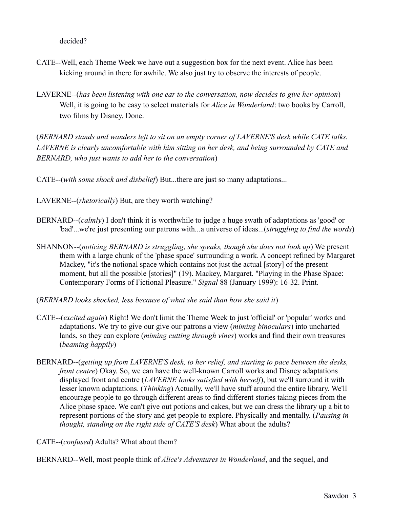decided?

- CATE--Well, each Theme Week we have out a suggestion box for the next event. Alice has been kicking around in there for awhile. We also just try to observe the interests of people.
- LAVERNE--(*has been listening with one ear to the conversation, now decides to give her opinion*) Well, it is going to be easy to select materials for *Alice in Wonderland*: two books by Carroll, two films by Disney. Done.

(*BERNARD stands and wanders left to sit on an empty corner of LAVERNE'S desk while CATE talks. LAVERNE is clearly uncomfortable with him sitting on her desk, and being surrounded by CATE and BERNARD, who just wants to add her to the conversation*)

CATE--(*with some shock and disbelief*) But...there are just so many adaptations...

LAVERNE--(*rhetorically*) But, are they worth watching?

- BERNARD--(*calmly*) I don't think it is worthwhile to judge a huge swath of adaptations as 'good' or 'bad'...we're just presenting our patrons with...a universe of ideas...(*struggling to find the words*)
- SHANNON--(*noticing BERNARD is struggling, she speaks, though she does not look up*) We present them with a large chunk of the 'phase space' surrounding a work. A concept refined by Margaret Mackey, "it's the notional space which contains not just the actual [story] of the present moment, but all the possible [stories]" (19). Mackey, Margaret. "Playing in the Phase Space: Contemporary Forms of Fictional Pleasure." *Signal* 88 (January 1999): 16-32. Print.
- (*BERNARD looks shocked, less because of what she said than how she said it*)
- CATE--(*excited again*) Right! We don't limit the Theme Week to just 'official' or 'popular' works and adaptations. We try to give our give our patrons a view (*miming binoculars*) into uncharted lands, so they can explore (*miming cutting through vines*) works and find their own treasures (*beaming happily*)
- BERNARD--(*getting up from LAVERNE'S desk, to her relief, and starting to pace between the desks, front centre*) Okay. So, we can have the well-known Carroll works and Disney adaptations displayed front and centre (*LAVERNE looks satisfied with herself*), but we'll surround it with lesser known adaptations. (*Thinking*) Actually, we'll have stuff around the entire library. We'll encourage people to go through different areas to find different stories taking pieces from the Alice phase space. We can't give out potions and cakes, but we can dress the library up a bit to represent portions of the story and get people to explore. Physically and mentally. (*Pausing in thought, standing on the right side of CATE'S desk*) What about the adults?

CATE--(*confused*) Adults? What about them?

BERNARD--Well, most people think of *Alice's Adventures in Wonderland*, and the sequel, and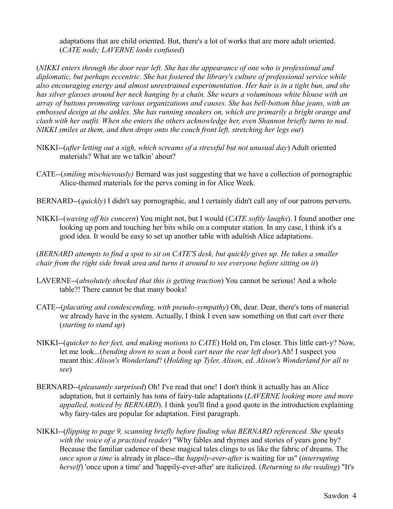adaptations that are child oriented. But, there's a lot of works that are more adult oriented. (*CATE nods; LAVERNE looks confused*)

(*NIKKI enters through the door rear left. She has the appearance of one who is professional and diplomatic, but perhaps eccentric. She has fostered the library's culture of professional service while also encouraging energy and almost unrestrained experimentation. Her hair is in a tight bun, and she has silver glasses around her neck hanging by a chain. She wears a voluminous white blouse with an array of buttons promoting various organizations and causes. She has bell-bottom blue jeans, with an embossed design at the ankles. She has running sneakers on, which are primarily a bright orange and clash with her outfit. When she enters the others acknowledge her, even Shannon briefly turns to nod. NIKKI smiles at them, and then drops onto the couch front left, stretching her legs out*)

- NIKKI--(*after letting out a sigh, which screams of a stressful but not unusual day*) Adult oriented materials? What are we talkin' about?
- CATE--(*smiling mischievously)* Bernard was just suggesting that we have a collection of pornographic Alice-themed materials for the pervs coming in for Alice Week.
- BERNARD--(*quickly*) I didn't say pornographic, and I certainly didn't call any of our patrons perverts.
- NIKKI--(*waving off his concern*) You might not, but I would (*CATE softly laughs*). I found another one looking up porn and touching her bits while on a computer station. In any case, I think it's a good idea. It would be easy to set up another table with adultish Alice adaptations.

(*BERNARD attempts to find a spot to sit on CATE'S desk, but quickly gives up. He takes a smaller chair from the right side break area and turns it around to see everyone before sitting on it*)

- LAVERNE--(*absolutely shocked that this is getting traction*) You cannot be serious! And a whole table?! There cannot be that many books!
- CATE--(*placating and condescending, with pseudo-sympathy*) Oh, dear. Dear, there's tons of material we already have in the system. Actually, I think I even saw something on that cart over there (*starting to stand up*)
- NIKKI--(*quicker to her feet, and making motions to CATE*) Hold on, I'm closer. This little cart-y? Now, let me look...(*bending down to scan a book cart near the rear left door*) Ah! I suspect you meant this: *Alison's Wonderland*? (*Holding up Tyler, Alison, ed. Alison's Wonderland for all to see*)
- BERNARD--(*pleasantly surprised*) Oh! I've read that one! I don't think it actually has an Alice adaptation, but it certainly has tons of fairy-tale adaptations (*LAVERNE looking more and more appalled, noticed by BERNARD*). I think you'll find a good quote in the introduction explaining why fairy-tales are popular for adaptation. First paragraph.
- NIKKI--(*flipping to page 9, scanning briefly before finding what BERNARD referenced. She speaks with the voice of a practised reader*) "Why fables and rhymes and stories of years gone by? Because the familiar cadence of these magical tales clings to us like the fabric of dreams. The *once upon a time* is already in place--the *happily-ever-after* is waiting for us" (*interrupting herself*) 'once upon a time' and 'happily-ever-after' are italicized. (*Returning to the reading*) "It's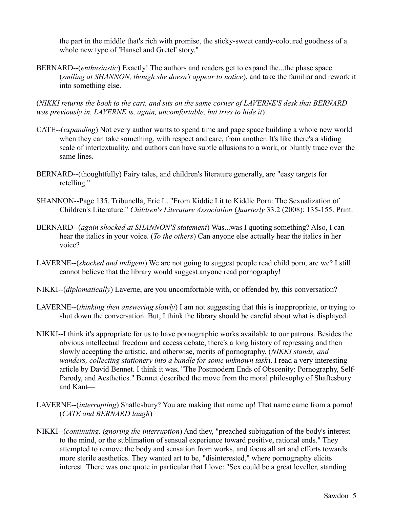the part in the middle that's rich with promise, the sticky-sweet candy-coloured goodness of a whole new type of 'Hansel and Gretel' story."

BERNARD--(*enthusiastic*) Exactly! The authors and readers get to expand the...the phase space (*smiling at SHANNON, though she doesn't appear to notice*), and take the familiar and rework it into something else.

(*NIKKI returns the book to the cart, and sits on the same corner of LAVERNE'S desk that BERNARD was previously in. LAVERNE is, again, uncomfortable, but tries to hide it*)

- CATE--(*expanding*) Not every author wants to spend time and page space building a whole new world when they can take something, with respect and care, from another. It's like there's a sliding scale of intertextuality, and authors can have subtle allusions to a work, or bluntly trace over the same lines.
- BERNARD--(thoughtfully) Fairy tales, and children's literature generally, are "easy targets for retelling."
- SHANNON--Page 135, Tribunella, Eric L. "From Kiddie Lit to Kiddie Porn: The Sexualization of Children's Literature." *Children's Literature Association Quarterly* 33.2 (2008): 135-155. Print.
- BERNARD--(*again shocked at SHANNON'S statement*) Was...was I quoting something? Also, I can hear the italics in your voice. (*To the others*) Can anyone else actually hear the italics in her voice?
- LAVERNE--(*shocked and indigent*) We are not going to suggest people read child porn, are we? I still cannot believe that the library would suggest anyone read pornography!
- NIKKI--(*diplomatically*) Laverne, are you uncomfortable with, or offended by, this conversation?
- LAVERNE--(*thinking then answering slowly*) I am not suggesting that this is inappropriate, or trying to shut down the conversation. But, I think the library should be careful about what is displayed.
- NIKKI--I think it's appropriate for us to have pornographic works available to our patrons. Besides the obvious intellectual freedom and access debate, there's a long history of repressing and then slowly accepting the artistic, and otherwise, merits of pornography. (*NIKKI stands, and wanders, collecting stationery into a bundle for some unknown task*). I read a very interesting article by David Bennet. I think it was, "The Postmodern Ends of Obscenity: Pornography, Self-Parody, and Aesthetics." Bennet described the move from the moral philosophy of Shaftesbury and Kant—
- LAVERNE--(*interrupting*) Shaftesbury? You are making that name up! That name came from a porno! (*CATE and BERNARD laugh*)
- NIKKI--(*continuing, ignoring the interruption*) And they, "preached subjugation of the body's interest to the mind, or the sublimation of sensual experience toward positive, rational ends." They attempted to remove the body and sensation from works, and focus all art and efforts towards more sterile aesthetics. They wanted art to be, "disinterested," where pornography elicits interest. There was one quote in particular that I love: "Sex could be a great leveller, standing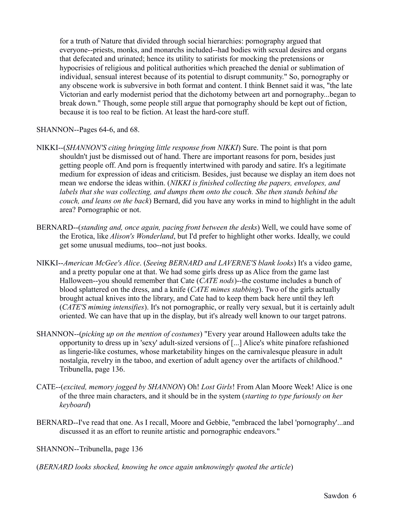for a truth of Nature that divided through social hierarchies: pornography argued that everyone--priests, monks, and monarchs included--had bodies with sexual desires and organs that defecated and urinated; hence its utility to satirists for mocking the pretensions or hypocrisies of religious and political authorities which preached the denial or sublimation of individual, sensual interest because of its potential to disrupt community." So, pornography or any obscene work is subversive in both format and content. I think Bennet said it was, "the late Victorian and early modernist period that the dichotomy between art and pornography...began to break down." Though, some people still argue that pornography should be kept out of fiction, because it is too real to be fiction. At least the hard-core stuff.

# SHANNON--Pages 64-6, and 68.

- NIKKI--(*SHANNON'S citing bringing little response from NIKKI*) Sure. The point is that porn shouldn't just be dismissed out of hand. There are important reasons for porn, besides just getting people off. And porn is frequently intertwined with parody and satire. It's a legitimate medium for expression of ideas and criticism. Besides, just because we display an item does not mean we endorse the ideas within. (*NIKKI is finished collecting the papers, envelopes, and labels that she was collecting, and dumps them onto the couch. She then stands behind the couch, and leans on the back*) Bernard, did you have any works in mind to highlight in the adult area? Pornographic or not.
- BERNARD--(*standing and, once again, pacing front between the desks*) Well, we could have some of the Erotica, like *Alison's Wonderland*, but I'd prefer to highlight other works. Ideally, we could get some unusual mediums, too--not just books.
- NIKKI--*American McGee's Alice*. (*Seeing BERNARD and LAVERNE'S blank looks*) It's a video game, and a pretty popular one at that. We had some girls dress up as Alice from the game last Halloween--you should remember that Cate (*CATE nods*)--the costume includes a bunch of blood splattered on the dress, and a knife (*CATE mimes stabbing*). Two of the girls actually brought actual knives into the library, and Cate had to keep them back here until they left (*CATE'S miming intensifies*). It's not pornographic, or really very sexual, but it is certainly adult oriented. We can have that up in the display, but it's already well known to our target patrons.
- SHANNON--(*picking up on the mention of costumes*) "Every year around Halloween adults take the opportunity to dress up in 'sexy' adult-sized versions of [...] Alice's white pinafore refashioned as lingerie-like costumes, whose marketability hinges on the carnivalesque pleasure in adult nostalgia, revelry in the taboo, and exertion of adult agency over the artifacts of childhood." Tribunella, page 136.
- CATE--(*excited, memory jogged by SHANNON*) Oh! *Lost Girls*! From Alan Moore Week! Alice is one of the three main characters, and it should be in the system (*starting to type furiously on her keyboard*)
- BERNARD--I've read that one. As I recall, Moore and Gebbie, "embraced the label 'pornography'...and discussed it as an effort to reunite artistic and pornographic endeavors."

SHANNON--Tribunella, page 136

(*BERNARD looks shocked, knowing he once again unknowingly quoted the article*)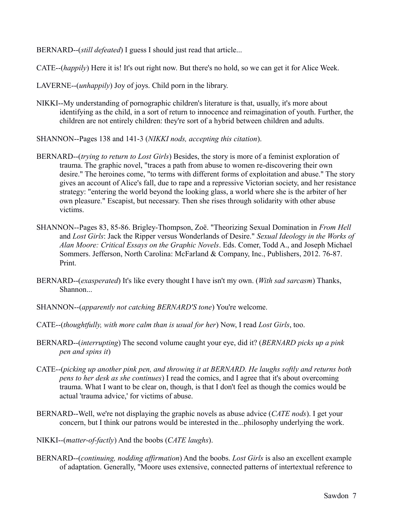BERNARD--(*still defeated*) I guess I should just read that article...

CATE--(*happily*) Here it is! It's out right now. But there's no hold, so we can get it for Alice Week.

LAVERNE--(*unhappily*) Joy of joys. Child porn in the library.

- NIKKI--My understanding of pornographic children's literature is that, usually, it's more about identifying as the child, in a sort of return to innocence and reimagination of youth. Further, the children are not entirely children: they're sort of a hybrid between children and adults.
- SHANNON--Pages 138 and 141-3 (*NIKKI nods, accepting this citation*).
- BERNARD--(*trying to return to Lost Girls*) Besides, the story is more of a feminist exploration of trauma. The graphic novel, "traces a path from abuse to women re-discovering their own desire." The heroines come, "to terms with different forms of exploitation and abuse." The story gives an account of Alice's fall, due to rape and a repressive Victorian society, and her resistance strategy: "entering the world beyond the looking glass, a world where she is the arbiter of her own pleasure." Escapist, but necessary. Then she rises through solidarity with other abuse victims.
- SHANNON--Pages 83, 85-86. Brigley-Thompson, Zoë. "Theorizing Sexual Domination in *From Hell* and *Lost Girls*: Jack the Ripper versus Wonderlands of Desire." *Sexual Ideology in the Works of Alan Moore: Critical Essays on the Graphic Novels*. Eds. Comer, Todd A., and Joseph Michael Sommers. Jefferson, North Carolina: McFarland & Company, Inc., Publishers, 2012. 76-87. Print.
- BERNARD--(*exasperated*) It's like every thought I have isn't my own. (*With sad sarcasm*) Thanks, Shannon...
- SHANNON--(*apparently not catching BERNARD'S tone*) You're welcome.
- CATE--(*thoughtfully, with more calm than is usual for her*) Now, I read *Lost Girls*, too.
- BERNARD--(*interrupting*) The second volume caught your eye, did it? (*BERNARD picks up a pink pen and spins it*)
- CATE--(*picking up another pink pen, and throwing it at BERNARD. He laughs softly and returns both pens to her desk as she continues*) I read the comics, and I agree that it's about overcoming trauma. What I want to be clear on, though, is that I don't feel as though the comics would be actual 'trauma advice,' for victims of abuse.
- BERNARD--Well, we're not displaying the graphic novels as abuse advice (*CATE nods*). I get your concern, but I think our patrons would be interested in the...philosophy underlying the work.
- NIKKI--(*matter-of-factly*) And the boobs (*CATE laughs*).
- BERNARD--(*continuing, nodding affirmation*) And the boobs. *Lost Girls* is also an excellent example of adaptation. Generally, "Moore uses extensive, connected patterns of intertextual reference to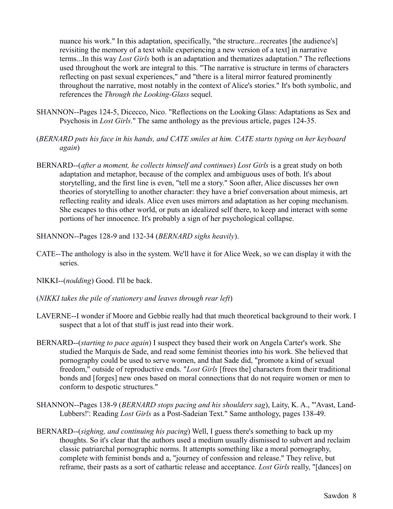nuance his work." In this adaptation, specifically, "the structure...recreates [the audience's] revisiting the memory of a text while experiencing a new version of a text] in narrative terms...In this way *Lost Girls* both is an adaptation and thematizes adaptation." The reflections used throughout the work are integral to this. "The narrative is structure in terms of characters reflecting on past sexual experiences," and "there is a literal mirror featured prominently throughout the narrative, most notably in the context of Alice's stories." It's both symbolic, and references the *Through the Looking-Glass* sequel.

- SHANNON--Pages 124-5, Dicecco, Nico. "Reflections on the Looking Glass: Adaptations as Sex and Psychosis in *Lost Girls*." The same anthology as the previous article, pages 124-35.
- (*BERNARD puts his face in his hands, and CATE smiles at him. CATE starts typing on her keyboard again*)
- BERNARD--(*after a moment, he collects himself and continues*) *Lost Girls* is a great study on both adaptation and metaphor, because of the complex and ambiguous uses of both. It's about storytelling, and the first line is even, "tell me a story." Soon after, Alice discusses her own theories of storytelling to another character: they have a brief conversation about mimesis, art reflecting reality and ideals. Alice even uses mirrors and adaptation as her coping mechanism. She escapes to this other world, or puts an idealized self there, to keep and interact with some portions of her innocence. It's probably a sign of her psychological collapse.
- SHANNON--Pages 128-9 and 132-34 (*BERNARD sighs heavily*).
- CATE--The anthology is also in the system. We'll have it for Alice Week, so we can display it with the series.
- NIKKI--(*nodding*) Good. I'll be back.
- (*NIKKI takes the pile of stationery and leaves through rear left*)
- LAVERNE--I wonder if Moore and Gebbie really had that much theoretical background to their work. I suspect that a lot of that stuff is just read into their work.
- BERNARD--(*starting to pace again*) I suspect they based their work on Angela Carter's work. She studied the Marquis de Sade, and read some feminist theories into his work. She believed that pornography could be used to serve women, and that Sade did, "promote a kind of sexual freedom," outside of reproductive ends. "*Lost Girls* [frees the] characters from their traditional bonds and [forges] new ones based on moral connections that do not require women or men to conform to despotic structures."
- SHANNON--Pages 138-9 (*BERNARD stops pacing and his shoulders sag*), Laity, K. A., "'Avast, Land-Lubbers!': Reading *Lost Girls* as a Post-Sadeian Text." Same anthology, pages 138-49.
- BERNARD--(*sighing, and continuing his pacing*) Well, I guess there's something to back up my thoughts. So it's clear that the authors used a medium usually dismissed to subvert and reclaim classic patriarchal pornographic norms. It attempts something like a moral pornography, complete with feminist bonds and a, "journey of confession and release." They relive, but reframe, their pasts as a sort of cathartic release and acceptance. *Lost Girls* really, "[dances] on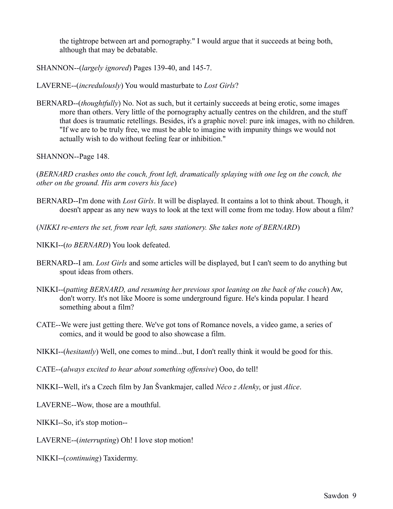the tightrope between art and pornography." I would argue that it succeeds at being both, although that may be debatable.

SHANNON--(*largely ignored*) Pages 139-40, and 145-7.

LAVERNE--(*incredulously*) You would masturbate to *Lost Girls*?

BERNARD--(*thoughtfully*) No. Not as such, but it certainly succeeds at being erotic, some images more than others. Very little of the pornography actually centres on the children, and the stuff that does is traumatic retellings. Besides, it's a graphic novel: pure ink images, with no children. "If we are to be truly free, we must be able to imagine with impunity things we would not actually wish to do without feeling fear or inhibition."

SHANNON--Page 148.

(*BERNARD crashes onto the couch, front left, dramatically splaying with one leg on the couch, the other on the ground. His arm covers his face*)

- BERNARD--I'm done with *Lost Girls*. It will be displayed. It contains a lot to think about. Though, it doesn't appear as any new ways to look at the text will come from me today. How about a film?
- (*NIKKI re-enters the set, from rear left, sans stationery. She takes note of BERNARD*)
- NIKKI--(*to BERNARD*) You look defeated.
- BERNARD--I am. *Lost Girls* and some articles will be displayed, but I can't seem to do anything but spout ideas from others.
- NIKKI--(*patting BERNARD, and resuming her previous spot leaning on the back of the couch*) Aw, don't worry. It's not like Moore is some underground figure. He's kinda popular. I heard something about a film?
- CATE--We were just getting there. We've got tons of Romance novels, a video game, a series of comics, and it would be good to also showcase a film.

NIKKI--(*hesitantly*) Well, one comes to mind...but, I don't really think it would be good for this.

CATE--(*always excited to hear about something offensive*) Ooo, do tell!

NIKKI--Well, it's a Czech film by Jan Švankmajer, called *Něco z Alenky*, or just *Alice*.

LAVERNE--Wow, those are a mouthful.

NIKKI--So, it's stop motion--

LAVERNE--(*interrupting*) Oh! I love stop motion!

NIKKI--(*continuing*) Taxidermy.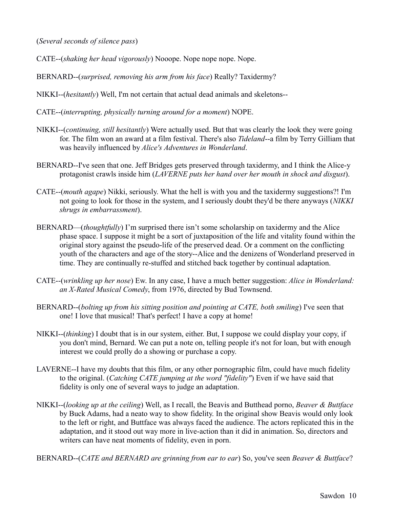(*Several seconds of silence pass*)

- CATE--(*shaking her head vigorously*) Nooope. Nope nope nope. Nope.
- BERNARD--(*surprised, removing his arm from his face*) Really? Taxidermy?
- NIKKI--(*hesitantly*) Well, I'm not certain that actual dead animals and skeletons--
- CATE--(*interrupting, physically turning around for a moment*) NOPE.
- NIKKI--(*continuing, still hesitantly*) Were actually used. But that was clearly the look they were going for. The film won an award at a film festival. There's also *Tideland*--a film by Terry Gilliam that was heavily influenced by *Alice's Adventures in Wonderland*.
- BERNARD--I've seen that one. Jeff Bridges gets preserved through taxidermy, and I think the Alice-y protagonist crawls inside him (*LAVERNE puts her hand over her mouth in shock and disgust*).
- CATE--(*mouth agape*) Nikki, seriously. What the hell is with you and the taxidermy suggestions?! I'm not going to look for those in the system, and I seriously doubt they'd be there anyways (*NIKKI shrugs in embarrassment*).
- BERNARD—(*thoughtfully*) I'm surprised there isn't some scholarship on taxidermy and the Alice phase space. I suppose it might be a sort of juxtaposition of the life and vitality found within the original story against the pseudo-life of the preserved dead. Or a comment on the conflicting youth of the characters and age of the story--Alice and the denizens of Wonderland preserved in time. They are continually re-stuffed and stitched back together by continual adaptation.
- CATE--(*wrinkling up her nose*) Ew. In any case, I have a much better suggestion: *Alice in Wonderland: an X-Rated Musical Comedy*, from 1976, directed by Bud Townsend.
- BERNARD--(*bolting up from his sitting position and pointing at CATE, both smiling*) I've seen that one! I love that musical! That's perfect! I have a copy at home!
- NIKKI--(*thinking*) I doubt that is in our system, either. But, I suppose we could display your copy, if you don't mind, Bernard. We can put a note on, telling people it's not for loan, but with enough interest we could prolly do a showing or purchase a copy.
- LAVERNE--I have my doubts that this film, or any other pornographic film, could have much fidelity to the original. (*Catching CATE jumping at the word "fidelity"*) Even if we have said that fidelity is only one of several ways to judge an adaptation.
- NIKKI--(*looking up at the ceiling*) Well, as I recall, the Beavis and Butthead porno, *Beaver & Buttface* by Buck Adams, had a neato way to show fidelity. In the original show Beavis would only look to the left or right, and Buttface was always faced the audience. The actors replicated this in the adaptation, and it stood out way more in live-action than it did in animation. So, directors and writers can have neat moments of fidelity, even in porn.

BERNARD--(*CATE and BERNARD are grinning from ear to ear*) So, you've seen *Beaver & Buttface*?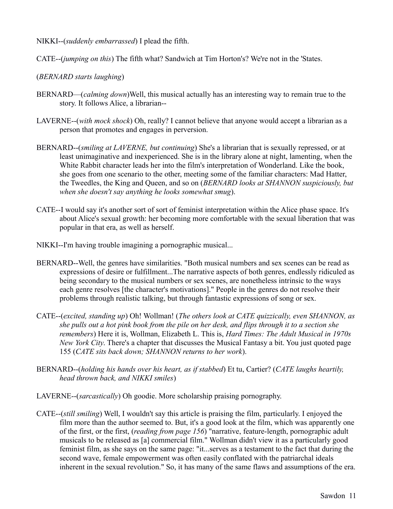- NIKKI--(*suddenly embarrassed*) I plead the fifth.
- CATE--(*jumping on this*) The fifth what? Sandwich at Tim Horton's? We're not in the 'States.
- (*BERNARD starts laughing*)
- BERNARD—(*calming down*)Well, this musical actually has an interesting way to remain true to the story. It follows Alice, a librarian--
- LAVERNE--(*with mock shock*) Oh, really? I cannot believe that anyone would accept a librarian as a person that promotes and engages in perversion.
- BERNARD--(*smiling at LAVERNE, but continuing*) She's a librarian that is sexually repressed, or at least unimaginative and inexperienced. She is in the library alone at night, lamenting, when the White Rabbit character leads her into the film's interpretation of Wonderland. Like the book, she goes from one scenario to the other, meeting some of the familiar characters: Mad Hatter, the Tweedles, the King and Queen, and so on (*BERNARD looks at SHANNON suspiciously, but when she doesn't say anything he looks somewhat smug*).
- CATE--I would say it's another sort of sort of feminist interpretation within the Alice phase space. It's about Alice's sexual growth: her becoming more comfortable with the sexual liberation that was popular in that era, as well as herself.
- NIKKI--I'm having trouble imagining a pornographic musical...
- BERNARD--Well, the genres have similarities. "Both musical numbers and sex scenes can be read as expressions of desire or fulfillment...The narrative aspects of both genres, endlessly ridiculed as being secondary to the musical numbers or sex scenes, are nonetheless intrinsic to the ways each genre resolves [the character's motivations]." People in the genres do not resolve their problems through realistic talking, but through fantastic expressions of song or sex.
- CATE--(*excited, standing up*) Oh! Wollman! (*The others look at CATE quizzically, even SHANNON, as she pulls out a hot pink book from the pile on her desk, and flips through it to a section she remembers*) Here it is, Wollman, Elizabeth L. This is, *Hard Times: The Adult Musical in 1970s New York City*. There's a chapter that discusses the Musical Fantasy a bit. You just quoted page 155 (*CATE sits back down; SHANNON returns to her work*).
- BERNARD--(*holding his hands over his heart, as if stabbed*) Et tu, Cartier? (*CATE laughs heartily, head thrown back, and NIKKI smiles*)
- LAVERNE--(*sarcastically*) Oh goodie. More scholarship praising pornography.
- CATE--(*still smiling*) Well, I wouldn't say this article is praising the film, particularly. I enjoyed the film more than the author seemed to. But, it's a good look at the film, which was apparently one of the first, or the first, (*reading from page 156*) "narrative, feature-length, pornographic adult musicals to be released as [a] commercial film." Wollman didn't view it as a particularly good feminist film, as she says on the same page: "it...serves as a testament to the fact that during the second wave, female empowerment was often easily conflated with the patriarchal ideals inherent in the sexual revolution." So, it has many of the same flaws and assumptions of the era.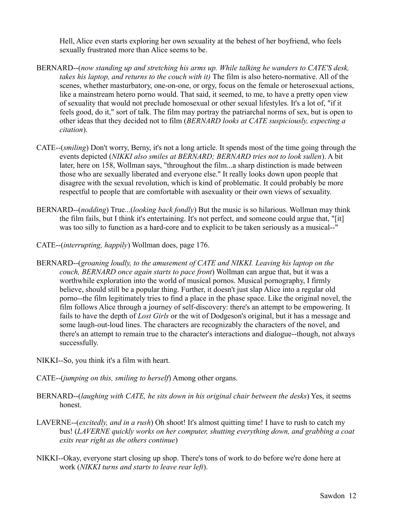Hell, Alice even starts exploring her own sexuality at the behest of her boyfriend, who feels sexually frustrated more than Alice seems to be.

- BERNARD--(*now standing up and stretching his arms up. While talking he wanders to CATE'S desk, takes his laptop, and returns to the couch with it)* The film is also hetero-normative. All of the scenes, whether masturbatory, one-on-one, or orgy, focus on the female or heterosexual actions, like a mainstream hetero porno would. That said, it seemed, to me, to have a pretty open view of sexuality that would not preclude homosexual or other sexual lifestyles. It's a lot of, "if it feels good, do it," sort of talk. The film may portray the patriarchal norms of sex, but is open to other ideas that they decided not to film (*BERNARD looks at CATE suspiciously, expecting a citation*).
- CATE--(*smiling*) Don't worry, Berny, it's not a long article. It spends most of the time going through the events depicted (*NIKKI also smiles at BERNARD; BERNARD tries not to look sullen*). A bit later, here on 158, Wollman says, "throughout the film...a sharp distinction is made between those who are sexually liberated and everyone else." It really looks down upon people that disagree with the sexual revolution, which is kind of problematic. It could probably be more respectful to people that are comfortable with asexuality or their own views of sexuality.
- BERNARD--(*nodding*) True...(*looking back fondly*) But the music is so hilarious. Wollman may think the film fails, but I think it's entertaining. It's not perfect, and someone could argue that, "[it] was too silly to function as a hard-core and to explicit to be taken seriously as a musical--"
- CATE--(*interrupting, happily*) Wollman does, page 176.
- BERNARD--(*groaning loudly, to the amusement of CATE and NIKKI. Leaving his laptop on the couch, BERNARD once again starts to pace front*) Wollman can argue that, but it was a worthwhile exploration into the world of musical pornos. Musical pornography, I firmly believe, should still be a popular thing. Further, it doesn't just slap Alice into a regular old porno--the film legitimately tries to find a place in the phase space. Like the original novel, the film follows Alice through a journey of self-discovery: there's an attempt to be empowering. It fails to have the depth of *Lost Girls* or the wit of Dodgeson's original, but it has a message and some laugh-out-loud lines. The characters are recognizably the characters of the novel, and there's an attempt to remain true to the character's interactions and dialogue--though, not always successfully.
- NIKKI--So, you think it's a film with heart.
- CATE--(*jumping on this, smiling to herself*) Among other organs.
- BERNARD--(*laughing with CATE, he sits down in his original chair between the desks*) Yes, it seems honest.
- LAVERNE--(*excitedly, and in a rush*) Oh shoot! It's almost quitting time! I have to rush to catch my bus! (*LAVERNE quickly works on her computer, shutting everything down, and grabbing a coat exits rear right as the others continue*)
- NIKKI--Okay, everyone start closing up shop. There's tons of work to do before we're done here at work (*NIKKI turns and starts to leave rear left*).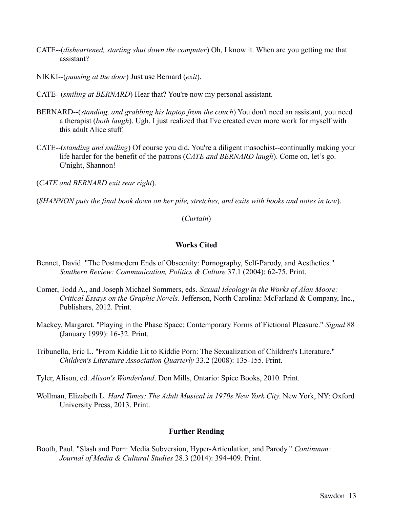- CATE--(*disheartened, starting shut down the computer*) Oh, I know it. When are you getting me that assistant?
- NIKKI--(*pausing at the door*) Just use Bernard (*exit*).
- CATE--(*smiling at BERNARD*) Hear that? You're now my personal assistant.
- BERNARD--(*standing, and grabbing his laptop from the couch*) You don't need an assistant, you need a therapist (*both laugh*). Ugh. I just realized that I've created even more work for myself with this adult Alice stuff.
- CATE--(*standing and smiling*) Of course you did. You're a diligent masochist--continually making your life harder for the benefit of the patrons (*CATE and BERNARD laugh*). Come on, let's go. G'night, Shannon!

(*CATE and BERNARD exit rear right*).

(*SHANNON puts the final book down on her pile, stretches, and exits with books and notes in tow*).

(*Curtain*)

## **Works Cited**

- Bennet, David. "The Postmodern Ends of Obscenity: Pornography, Self-Parody, and Aesthetics." *Southern Review: Communication, Politics & Culture* 37.1 (2004): 62-75. Print.
- Comer, Todd A., and Joseph Michael Sommers, eds. *Sexual Ideology in the Works of Alan Moore: Critical Essays on the Graphic Novels*. Jefferson, North Carolina: McFarland & Company, Inc., Publishers, 2012. Print.
- Mackey, Margaret. "Playing in the Phase Space: Contemporary Forms of Fictional Pleasure." *Signal* 88 (January 1999): 16-32. Print.
- Tribunella, Eric L. "From Kiddie Lit to Kiddie Porn: The Sexualization of Children's Literature." *Children's Literature Association Quarterly* 33.2 (2008): 135-155. Print.
- Tyler, Alison, ed. *Alison's Wonderland*. Don Mills, Ontario: Spice Books, 2010. Print.
- Wollman, Elizabeth L. *Hard Times: The Adult Musical in 1970s New York City*. New York, NY: Oxford University Press, 2013. Print.

## **Further Reading**

Booth, Paul. "Slash and Porn: Media Subversion, Hyper-Articulation, and Parody." *Continuum: Journal of Media & Cultural Studies* 28.3 (2014): 394-409. Print.